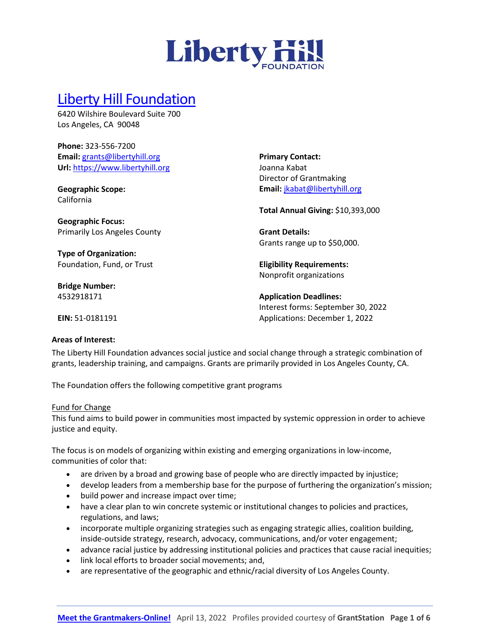

# [Liberty Hill Foundation](https://www.libertyhill.org/)

6420 Wilshire Boulevard Suite 700 Los Angeles, CA 90048

**Phone:** 323-556-7200 **Email:** [grants@libertyhill.org](mailto:grants@libertyhill.org) **Url:** [https://www.libertyhill.org](https://www.libertyhill.org/)

Primarily Los Angeles County

**Geographic Scope:** California

**Geographic Focus:**

**Type of Organization:** Foundation, Fund, or Trust **Primary Contact:** Joanna Kabat Director of Grantmaking **Email:** [jkabat@libertyhill.org](mailto:jkabat@libertyhill.org)

**Total Annual Giving:** \$10,393,000

**Grant Details:** Grants range up to \$50,000.

**Eligibility Requirements:** Nonprofit organizations

**Application Deadlines:** Interest forms: September 30, 2022 Applications: December 1, 2022

**EIN:** 51-0181191

**Bridge Number:** 4532918171

#### **Areas of Interest:**

The Liberty Hill Foundation advances social justice and social change through a strategic combination of grants, leadership training, and campaigns. Grants are primarily provided in Los Angeles County, CA.

The Foundation offers the following competitive grant programs

#### Fund for Change

This fund aims to build power in communities most impacted by systemic oppression in order to achieve justice and equity.

The focus is on models of organizing within existing and emerging organizations in low-income, communities of color that:

- are driven by a broad and growing base of people who are directly impacted by injustice;
- develop leaders from a membership base for the purpose of furthering the organization's mission;
- build power and increase impact over time;
- have a clear plan to win concrete systemic or institutional changes to policies and practices, regulations, and laws;
- incorporate multiple organizing strategies such as engaging strategic allies, coalition building, inside-outside strategy, research, advocacy, communications, and/or voter engagement;
- advance racial justice by addressing institutional policies and practices that cause racial inequities;
- link local efforts to broader social movements; and,
- are representative of the geographic and ethnic/racial diversity of Los Angeles County.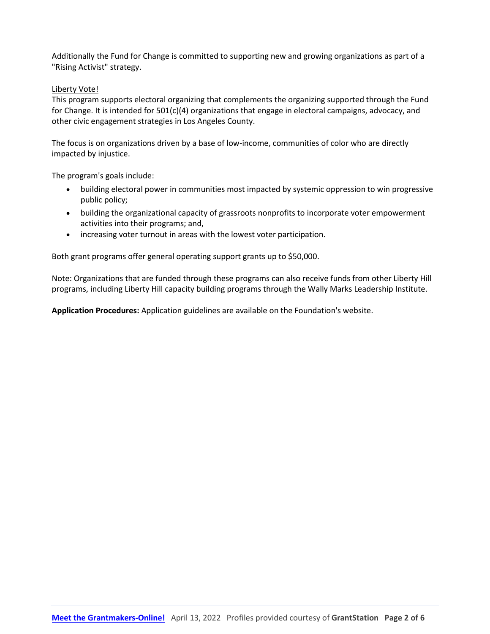Additionally the Fund for Change is committed to supporting new and growing organizations as part of a "Rising Activist" strategy.

### Liberty Vote!

This program supports electoral organizing that complements the organizing supported through the Fund for Change. It is intended for 501(c)(4) organizations that engage in electoral campaigns, advocacy, and other civic engagement strategies in Los Angeles County.

The focus is on organizations driven by a base of low-income, communities of color who are directly impacted by injustice.

The program's goals include:

- building electoral power in communities most impacted by systemic oppression to win progressive public policy;
- building the organizational capacity of grassroots nonprofits to incorporate voter empowerment activities into their programs; and,
- increasing voter turnout in areas with the lowest voter participation.

Both grant programs offer general operating support grants up to \$50,000.

Note: Organizations that are funded through these programs can also receive funds from other Liberty Hill programs, including Liberty Hill capacity building programs through the Wally Marks Leadership Institute.

**Application Procedures:** Application guidelines are available on the Foundation's website.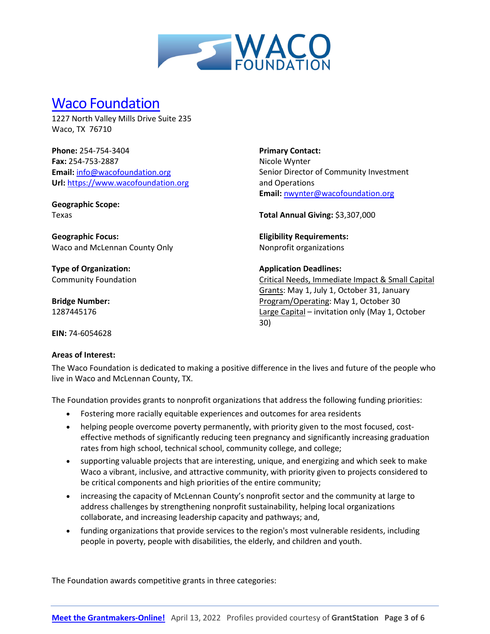

### [Waco Foundation](https://wacofoundation.org/)

1227 North Valley Mills Drive Suite 235 Waco, TX 76710

**Phone:** 254-754-3404 **Fax:** 254-753-2887 **Email:** [info@wacofoundation.org](mailto:info@wacofoundation.org) **Url:** [https://www.wacofoundation.org](https://www.wacofoundation.org/)

**Geographic Scope:** Texas

**Geographic Focus:**  Waco and McLennan County Only

**Type of Organization:** Community Foundation

**Bridge Number:** 1287445176

**Primary Contact:** Nicole Wynter Senior Director of Community Investment and Operations **Email:** [nwynter@wacofoundation.org](mailto:nwynter@wacofoundation.org)

**Total Annual Giving:** \$3,307,000

**Eligibility Requirements:** Nonprofit organizations

#### **Application Deadlines:**

Critical Needs, Immediate Impact & Small Capital Grants: May 1, July 1, October 31, January Program/Operating: May 1, October 30 Large Capital – invitation only (May 1, October 30)

**EIN:** 74-6054628

#### **Areas of Interest:**

The Waco Foundation is dedicated to making a positive difference in the lives and future of the people who live in Waco and McLennan County, TX.

The Foundation provides grants to nonprofit organizations that address the following funding priorities:

- Fostering more racially equitable experiences and outcomes for area residents
- helping people overcome poverty permanently, with priority given to the most focused, costeffective methods of significantly reducing teen pregnancy and significantly increasing graduation rates from high school, technical school, community college, and college;
- supporting valuable projects that are interesting, unique, and energizing and which seek to make Waco a vibrant, inclusive, and attractive community, with priority given to projects considered to be critical components and high priorities of the entire community;
- increasing the capacity of McLennan County's nonprofit sector and the community at large to address challenges by strengthening nonprofit sustainability, helping local organizations collaborate, and increasing leadership capacity and pathways; and,
- funding organizations that provide services to the region's most vulnerable residents, including people in poverty, people with disabilities, the elderly, and children and youth.

The Foundation awards competitive grants in three categories: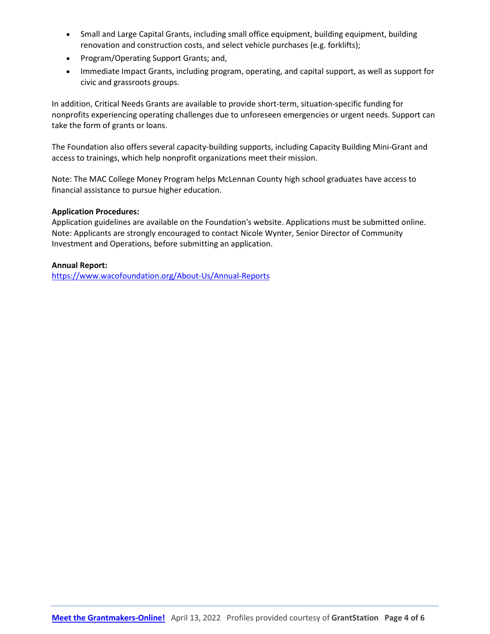- Small and Large Capital Grants, including small office equipment, building equipment, building renovation and construction costs, and select vehicle purchases (e.g. forklifts);
- Program/Operating Support Grants; and,
- Immediate Impact Grants, including program, operating, and capital support, as well as support for civic and grassroots groups.

In addition, Critical Needs Grants are available to provide short-term, situation-specific funding for nonprofits experiencing operating challenges due to unforeseen emergencies or urgent needs. Support can take the form of grants or loans.

The Foundation also offers several capacity-building supports, including Capacity Building Mini-Grant and access to trainings, which help nonprofit organizations meet their mission.

Note: The MAC College Money Program helps McLennan County high school graduates have access to financial assistance to pursue higher education.

### **Application Procedures:**

Application guidelines are available on the Foundation's website. Applications must be submitted online. Note: Applicants are strongly encouraged to contact Nicole Wynter, Senior Director of Community Investment and Operations, before submitting an application.

#### **Annual Report:**

<https://www.wacofoundation.org/About-Us/Annual-Reports>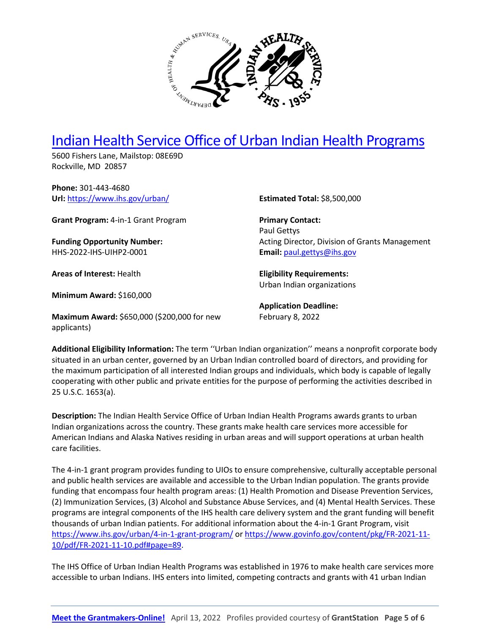

# [Indian Health Service Office of Urban Indian Health Programs](https://www.ihs.gov/urban/)

5600 Fishers Lane, Mailstop: 08E69D Rockville, MD 20857

**Phone:** 301-443-4680 **Url:** <https://www.ihs.gov/urban/>

**Grant Program:** 4-in-1 Grant Program

**Funding Opportunity Number:** HHS-2022-IHS-UIHP2-0001

**Areas of Interest:** Health

applicants)

**Minimum Award:** \$160,000

**Maximum Award:** \$650,000 (\$200,000 for new

**Estimated Total:** \$8,500,000

**Primary Contact:**  Paul Gettys Acting Director, Division of Grants Management **Email:** [paul.gettys@ihs.gov](mailto:paul.gettys@ihs.gov)

**Eligibility Requirements:**  Urban Indian organizations

**Application Deadline:** February 8, 2022

**Additional Eligibility Information:** The term ''Urban Indian organization'' means a nonprofit corporate body situated in an urban center, governed by an Urban Indian controlled board of directors, and providing for the maximum participation of all interested Indian groups and individuals, which body is capable of legally cooperating with other public and private entities for the purpose of performing the activities described in 25 U.S.C. 1653(a).

**Description:** The Indian Health Service Office of Urban Indian Health Programs awards grants to urban Indian organizations across the country. These grants make health care services more accessible for American Indians and Alaska Natives residing in urban areas and will support operations at urban health care facilities.

The 4-in-1 grant program provides funding to UIOs to ensure comprehensive, culturally acceptable personal and public health services are available and accessible to the Urban Indian population. The grants provide funding that encompass four health program areas: (1) Health Promotion and Disease Prevention Services, (2) Immunization Services, (3) Alcohol and Substance Abuse Services, and (4) Mental Health Services. These programs are integral components of the IHS health care delivery system and the grant funding will benefit thousands of urban Indian patients. For additional information about the 4-in-1 Grant Program, visit <https://www.ihs.gov/urban/4-in-1-grant-program/> or [https://www.govinfo.gov/content/pkg/FR-2021-11-](https://www.govinfo.gov/content/pkg/FR-2021-11-10/pdf/FR-2021-11-10.pdf#page=89) [10/pdf/FR-2021-11-10.pdf#page=89.](https://www.govinfo.gov/content/pkg/FR-2021-11-10/pdf/FR-2021-11-10.pdf#page=89)

The IHS Office of Urban Indian Health Programs was established in 1976 to make health care services more accessible to urban Indians. IHS enters into limited, competing contracts and grants with 41 urban Indian